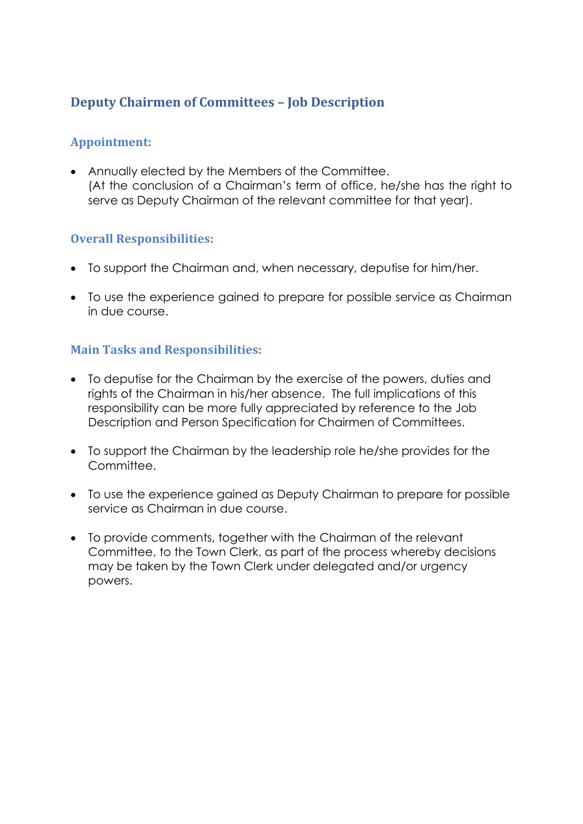## **Deputy Chairmen of Committees – Job Description**

### **Appointment:**

 Annually elected by the Members of the Committee. (At the conclusion of a Chairman's term of office, he/she has the right to serve as Deputy Chairman of the relevant committee for that year).

### **Overall Responsibilities:**

- To support the Chairman and, when necessary, deputise for him/her.
- To use the experience gained to prepare for possible service as Chairman in due course.

### **Main Tasks and Responsibilities:**

- To deputise for the Chairman by the exercise of the powers, duties and rights of the Chairman in his/her absence. The full implications of this responsibility can be more fully appreciated by reference to the Job Description and Person Specification for Chairmen of Committees.
- To support the Chairman by the leadership role he/she provides for the Committee.
- To use the experience gained as Deputy Chairman to prepare for possible service as Chairman in due course.
- To provide comments, together with the Chairman of the relevant Committee, to the Town Clerk, as part of the process whereby decisions may be taken by the Town Clerk under delegated and/or urgency powers.